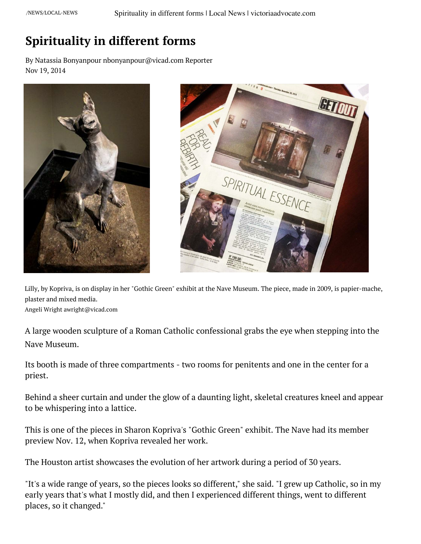## **Spirituality in different forms**

By Natassia Bonyanpour nbonyanpour@vicad.com Reporter Nov 19, 2014





Lilly, by Kopriva, is on display in her "Gothic Green" exhibit at the Nave Museum. The piece, made in 2009, is papier-mache, plaster and mixed media.

Angeli Wright awright@vicad.com

A large wooden sculpture of a Roman Catholic confessional grabs the eye when stepping into the Nave Museum.

Its booth is made of three compartments - two rooms for penitents and one in the center for a priest.

Behind a sheer curtain and under the glow of a daunting light, skeletal creatures kneel and appear to be whispering into a lattice.

This is one of the pieces in Sharon Kopriva's "Gothic Green" exhibit. The Nave had its member preview Nov. 12, when Kopriva revealed her work.

The Houston artist showcases the evolution of her artwork during a period of 30 years.

"It's a wide range of years, so the pieces looks so different," she said. "I grew up Catholic, so in my early years that's what I mostly did, and then I experienced different things, went to different places, so it changed."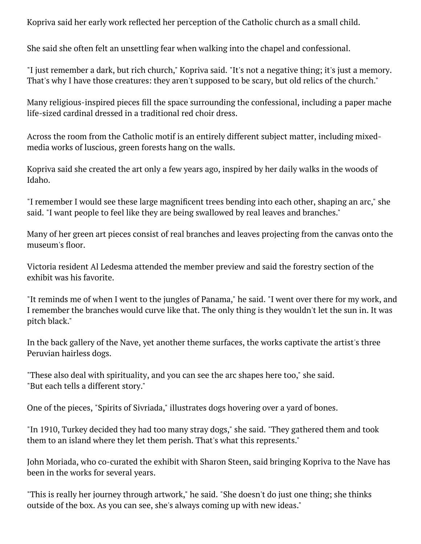Kopriva said her early work reflected her perception of the Catholic church as a small child.

She said she often felt an unsettling fear when walking into the chapel and confessional.

"I just remember a dark, but rich church," Kopriva said. "It's not a negative thing; it's just a memory. That's why I have those creatures: they aren't supposed to be scary, but old relics of the church."

Many religious-inspired pieces fill the space surrounding the confessional, including a paper mache life-sized cardinal dressed in a traditional red choir dress.

Across the room from the Catholic motif is an entirely different subject matter, including mixedmedia works of luscious, green forests hang on the walls.

Kopriva said she created the art only a few years ago, inspired by her daily walks in the woods of Idaho.

"I remember I would see these large magnificent trees bending into each other, shaping an arc," she said. "I want people to feel like they are being swallowed by real leaves and branches."

Many of her green art pieces [consist of real branches and leaves project](https://googleads.g.doubleclick.net/pcs/click?xai=AKAOjsu4dPstac1VHs617hjE3uXCvRZDQwCVmKk7pJUYF6ggeAGpasGpHWScYcLpY3Sc7v2rwWQASSIfc5zdnMrOJ1FWLKp9LuiqnurLEzp6yCJoMWPyvPk1MmlBaI1zoVObbXRYearhGcgwR5512J9l--wwcmVpG1ZeSiKwPEBIaiIsnFN4KpcAQdxna_WU3_5GkApYE7hGKscUjkIn0zYc2R5IG6cpswdyioCI9Znn0-ZvpHICPnPKz2MoUrxI3HFCjZ2SGNh0PDzUuHQCH2WHouhgLLKeM53lWTTGXFZReip7fnCJ114NWiUP_FIU9AxECD34JENc6LUCzYQ_LUdQ0pBk&sai=AMfl-YSf1jPqd533hTMZ92q5fVk_3MI061b4A7pYkMo7FeOBtCFSmxOm5ydC9hxQxFmydjo3QAE2ou2yXSNb3lP-j78ArevXngqtkuYLD8mqsMtaM3JGAu2GT7oV2WeLX__aJMb496R8&sig=Cg0ArKJSzLzX1oju6xMm&fbs_aeid=[gw_fbsaeid]&adurl=https://www.prosperitybankusa.com/Mortgages%3Futm_source%3DMRD%26utm_medium%3Dvicad-desktop%26utm_campaign%3Dhome-mortgage)ing from the canvas onto the museum's floor.

Victoria resident Al Ledesma attended the member preview and said the forestry section of the exhibit was his favorite.

"It reminds me of when I went to the jungles of Panama," he said. "I went over there for my work, and I remember the branches would curve like that. The only thing is they wouldn't let the sun in. It was pitch black."

In the back gallery of the Nave, yet another theme surfaces, the works captivate the artist's three Peruvian hairless dogs.

"These also deal with spirituality, and you can see the arc shapes here too," she said. "But each tells a different story."

One of the pieces, "Spirits of Sivriada," illustrates dogs hovering over a yard of bones.

"In 1910, Turkey decided they had too many stray dogs," she said. "They gathered them and took them to an island where they let them perish. That's what this represents."

John Moriada, who co-curated the exhibit with Sharon Steen, said bringing Kopriva to the Nave has been in the works for several years.

"This is really her journey through artwork," he said. "She doesn't do just one thing; she thinks outside of the box. As you can see, she's always coming up with new ideas."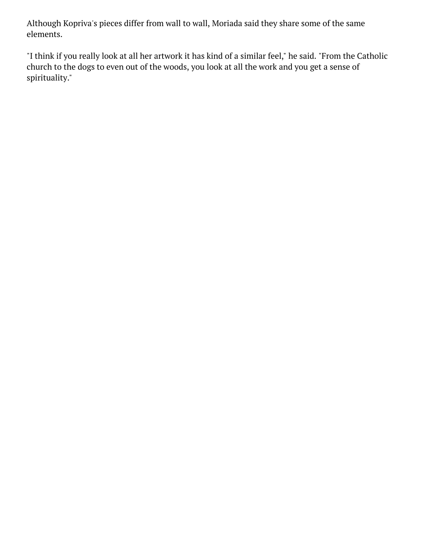Although Kopriva's pieces differ from wall to wall, Moriada said they share some of the same elements.

"I think if you really look at all her artwork it has kind of a similar feel," he said. "From the Catholic church to the dogs to even out of the woods, you look at all the work and you get a sense of spirituality."



Chris Davies, of Houston, looks over a collection of Sharon Kopriva's art exhibit, "Gothic Green," during the opening receptionNov. 13 at the Nave Museum. Among her pieces, one titled "Canis Major," is seen left. Angeli Wright awright@vicad.com



Sharon Kopriva stands to the applause of the crowd to talk about her artwork during the opening reception of her exhibit, "GothGreen," on Nov. 13 at the Nave Museum. The exhibit will be on display at the museum until Dec. 21. Angeli Wright awright@vicad.com